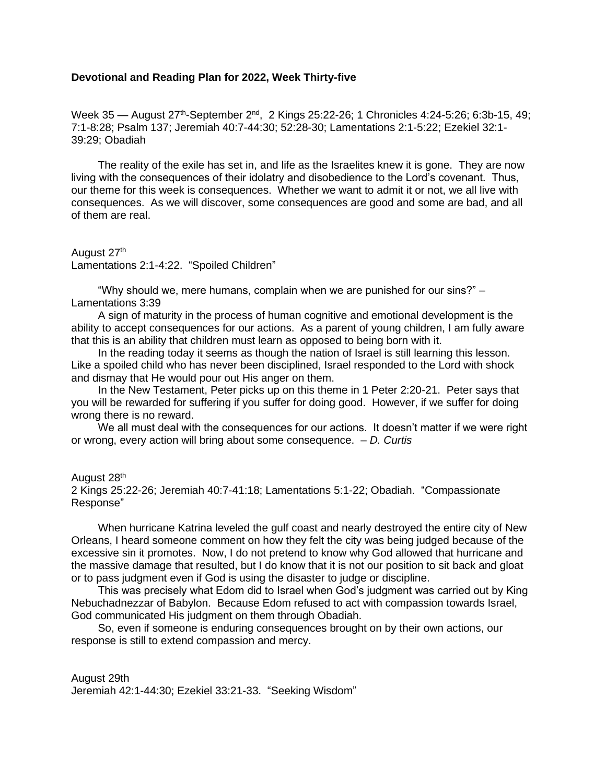## **Devotional and Reading Plan for 2022, Week Thirty-five**

Week 35 — August 27<sup>th</sup>-September 2<sup>nd</sup>, 2 Kings 25:22-26; 1 Chronicles 4:24-5:26; 6:3b-15, 49; 7:1-8:28; Psalm 137; Jeremiah 40:7-44:30; 52:28-30; Lamentations 2:1-5:22; Ezekiel 32:1- 39:29; Obadiah

The reality of the exile has set in, and life as the Israelites knew it is gone. They are now living with the consequences of their idolatry and disobedience to the Lord's covenant. Thus, our theme for this week is consequences. Whether we want to admit it or not, we all live with consequences. As we will discover, some consequences are good and some are bad, and all of them are real.

August 27<sup>th</sup> Lamentations 2:1-4:22. "Spoiled Children"

"Why should we, mere humans, complain when we are punished for our sins?" – Lamentations 3:39

A sign of maturity in the process of human cognitive and emotional development is the ability to accept consequences for our actions. As a parent of young children, I am fully aware that this is an ability that children must learn as opposed to being born with it.

In the reading today it seems as though the nation of Israel is still learning this lesson. Like a spoiled child who has never been disciplined, Israel responded to the Lord with shock and dismay that He would pour out His anger on them.

In the New Testament, Peter picks up on this theme in 1 Peter 2:20-21. Peter says that you will be rewarded for suffering if you suffer for doing good. However, if we suffer for doing wrong there is no reward.

We all must deal with the consequences for our actions. It doesn't matter if we were right or wrong, every action will bring about some consequence. – *D. Curtis*

August 28<sup>th</sup> 2 Kings 25:22-26; Jeremiah 40:7-41:18; Lamentations 5:1-22; Obadiah. "Compassionate Response"

When hurricane Katrina leveled the gulf coast and nearly destroyed the entire city of New Orleans, I heard someone comment on how they felt the city was being judged because of the excessive sin it promotes. Now, I do not pretend to know why God allowed that hurricane and the massive damage that resulted, but I do know that it is not our position to sit back and gloat or to pass judgment even if God is using the disaster to judge or discipline.

This was precisely what Edom did to Israel when God's judgment was carried out by King Nebuchadnezzar of Babylon. Because Edom refused to act with compassion towards Israel, God communicated His judgment on them through Obadiah.

So, even if someone is enduring consequences brought on by their own actions, our response is still to extend compassion and mercy.

August 29th Jeremiah 42:1-44:30; Ezekiel 33:21-33. "Seeking Wisdom"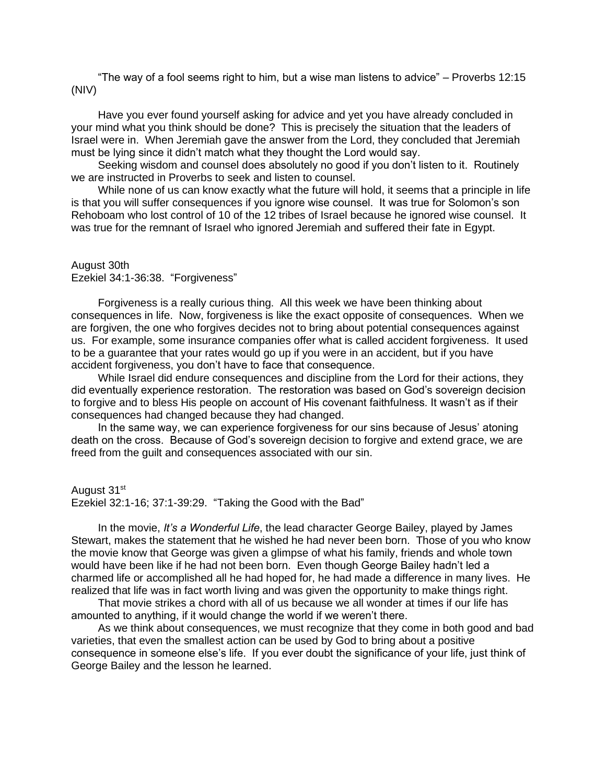"The way of a fool seems right to him, but a wise man listens to advice" – Proverbs 12:15 (NIV)

Have you ever found yourself asking for advice and yet you have already concluded in your mind what you think should be done? This is precisely the situation that the leaders of Israel were in. When Jeremiah gave the answer from the Lord, they concluded that Jeremiah must be lying since it didn't match what they thought the Lord would say.

Seeking wisdom and counsel does absolutely no good if you don't listen to it. Routinely we are instructed in Proverbs to seek and listen to counsel.

While none of us can know exactly what the future will hold, it seems that a principle in life is that you will suffer consequences if you ignore wise counsel. It was true for Solomon's son Rehoboam who lost control of 10 of the 12 tribes of Israel because he ignored wise counsel. It was true for the remnant of Israel who ignored Jeremiah and suffered their fate in Egypt.

## August 30th Ezekiel 34:1-36:38. "Forgiveness"

Forgiveness is a really curious thing. All this week we have been thinking about consequences in life. Now, forgiveness is like the exact opposite of consequences. When we are forgiven, the one who forgives decides not to bring about potential consequences against us. For example, some insurance companies offer what is called accident forgiveness. It used to be a guarantee that your rates would go up if you were in an accident, but if you have accident forgiveness, you don't have to face that consequence.

While Israel did endure consequences and discipline from the Lord for their actions, they did eventually experience restoration. The restoration was based on God's sovereign decision to forgive and to bless His people on account of His covenant faithfulness. It wasn't as if their consequences had changed because they had changed.

In the same way, we can experience forgiveness for our sins because of Jesus' atoning death on the cross. Because of God's sovereign decision to forgive and extend grace, we are freed from the guilt and consequences associated with our sin.

## August 31<sup>st</sup>

Ezekiel 32:1-16; 37:1-39:29. "Taking the Good with the Bad"

In the movie, *It's a Wonderful Life*, the lead character George Bailey, played by James Stewart, makes the statement that he wished he had never been born. Those of you who know the movie know that George was given a glimpse of what his family, friends and whole town would have been like if he had not been born. Even though George Bailey hadn't led a charmed life or accomplished all he had hoped for, he had made a difference in many lives. He realized that life was in fact worth living and was given the opportunity to make things right.

That movie strikes a chord with all of us because we all wonder at times if our life has amounted to anything, if it would change the world if we weren't there.

As we think about consequences, we must recognize that they come in both good and bad varieties, that even the smallest action can be used by God to bring about a positive consequence in someone else's life. If you ever doubt the significance of your life, just think of George Bailey and the lesson he learned.